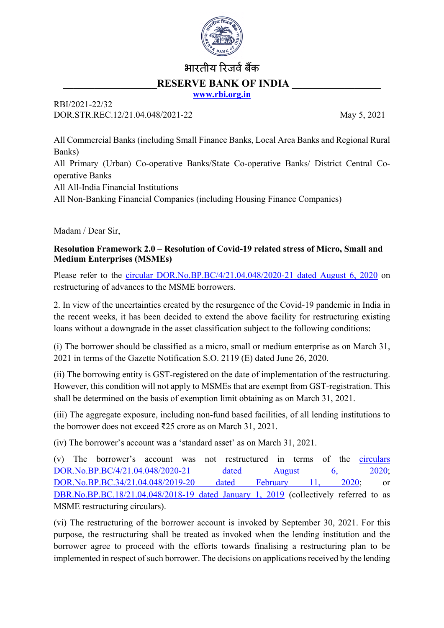

## भारतीय रिजर्व बैंक RESERVE BANK OF INDIA

**[www.rbi.org.in](http://www.rbi.org.in/)**

## RBI/2021-22/32 DOR.STR.REC.12/21.04.048/2021-22 May 5, 2021

All Commercial Banks (including Small Finance Banks, Local Area Banks and Regional Rural Banks) All Primary (Urban) Co-operative Banks/State Co-operative Banks/ District Central Cooperative Banks All All-India Financial Institutions All Non-Banking Financial Companies (including Housing Finance Companies)

Madam / Dear Sir,

## **Resolution Framework 2.0 – Resolution of Covid-19 related stress of Micro, Small and Medium Enterprises (MSMEs)**

Please refer to the [circular DOR.No.BP.BC/4/21.04.048/2020-21 dated August 6, 2020](https://www.rbi.org.in/Scripts/NotificationUser.aspx?Id=11942&Mode=0) on restructuring of advances to the MSME borrowers.

2. In view of the uncertainties created by the resurgence of the Covid-19 pandemic in India in the recent weeks, it has been decided to extend the above facility for restructuring existing loans without a downgrade in the asset classification subject to the following conditions:

(i) The borrower should be classified as a micro, small or medium enterprise as on March 31, 2021 in terms of the Gazette Notification S.O. 2119 (E) dated June 26, 2020.

(ii) The borrowing entity is GST-registered on the date of implementation of the restructuring. However, this condition will not apply to MSMEs that are exempt from GST-registration. This shall be determined on the basis of exemption limit obtaining as on March 31, 2021.

(iii) The aggregate exposure, including non-fund based facilities, of all lending institutions to the borrower does not exceed ₹25 crore as on March 31, 2021.

(iv) The borrower's account was a 'standard asset' as on March 31, 2021.

(v) The borrower's account was not restructured in terms of the [circulars](https://www.rbi.org.in/Scripts/NotificationUser.aspx?Id=11942&Mode=0)  [DOR.No.BP.BC/4/21.04.048/2020-21 dated August 6, 2020;](https://www.rbi.org.in/Scripts/NotificationUser.aspx?Id=11942&Mode=0) [DOR.No.BP.BC.34/21.04.048/2019-20 dated February 11, 2020;](https://www.rbi.org.in/Scripts/NotificationUser.aspx?Id=11808&Mode=0) or [DBR.No.BP.BC.18/21.04.048/2018-19 dated January 1, 2019](https://www.rbi.org.in/Scripts/NotificationUser.aspx?Id=11445&Mode=0) (collectively referred to as MSME restructuring circulars).

(vi) The restructuring of the borrower account is invoked by September 30, 2021. For this purpose, the restructuring shall be treated as invoked when the lending institution and the borrower agree to proceed with the efforts towards finalising a restructuring plan to be implemented in respect of such borrower. The decisions on applications received by the lending